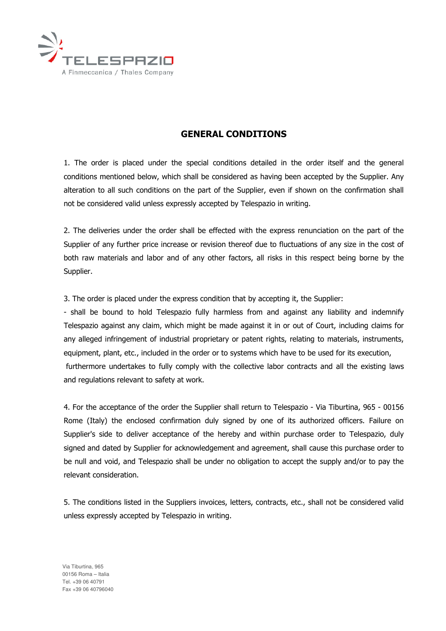

## GENERAL CONDITIONS

1. The order is placed under the special conditions detailed in the order itself and the general conditions mentioned below, which shall be considered as having been accepted by the Supplier. Any alteration to all such conditions on the part of the Supplier, even if shown on the confirmation shall not be considered valid unless expressly accepted by Telespazio in writing.

2. The deliveries under the order shall be effected with the express renunciation on the part of the Supplier of any further price increase or revision thereof due to fluctuations of any size in the cost of both raw materials and labor and of any other factors, all risks in this respect being borne by the Supplier.

3. The order is placed under the express condition that by accepting it, the Supplier:

- shall be bound to hold Telespazio fully harmless from and against any liability and indemnify Telespazio against any claim, which might be made against it in or out of Court, including claims for any alleged infringement of industrial proprietary or patent rights, relating to materials, instruments, equipment, plant, etc., included in the order or to systems which have to be used for its execution, furthermore undertakes to fully comply with the collective labor contracts and all the existing laws and regulations relevant to safety at work.

4. For the acceptance of the order the Supplier shall return to Telespazio - Via Tiburtina, 965 - 00156 Rome (Italy) the enclosed confirmation duly signed by one of its authorized officers. Failure on Supplier's side to deliver acceptance of the hereby and within purchase order to Telespazio, duly signed and dated by Supplier for acknowledgement and agreement, shall cause this purchase order to be null and void, and Telespazio shall be under no obligation to accept the supply and/or to pay the relevant consideration.

5. The conditions listed in the Suppliers invoices, letters, contracts, etc., shall not be considered valid unless expressly accepted by Telespazio in writing.

Via Tiburtina, 965 00156 Roma – Italia Tel. +39 06 40791 Fax +39 06 40796040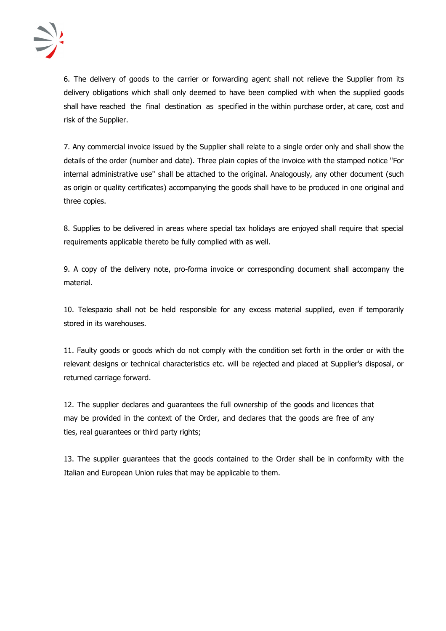

6. The delivery of goods to the carrier or forwarding agent shall not relieve the Supplier from its delivery obligations which shall only deemed to have been complied with when the supplied goods shall have reached the final destination as specified in the within purchase order, at care, cost and risk of the Supplier.

7. Any commercial invoice issued by the Supplier shall relate to a single order only and shall show the details of the order (number and date). Three plain copies of the invoice with the stamped notice "For internal administrative use" shall be attached to the original. Analogously, any other document (such as origin or quality certificates) accompanying the goods shall have to be produced in one original and three copies.

8. Supplies to be delivered in areas where special tax holidays are enjoyed shall require that special requirements applicable thereto be fully complied with as well.

9. A copy of the delivery note, pro-forma invoice or corresponding document shall accompany the material.

10. Telespazio shall not be held responsible for any excess material supplied, even if temporarily stored in its warehouses.

11. Faulty goods or goods which do not comply with the condition set forth in the order or with the relevant designs or technical characteristics etc. will be rejected and placed at Supplier's disposal, or returned carriage forward.

12. The supplier declares and guarantees the full ownership of the goods and licences that may be provided in the context of the Order, and declares that the goods are free of any ties, real guarantees or third party rights;

13. The supplier guarantees that the goods contained to the Order shall be in conformity with the Italian and European Union rules that may be applicable to them.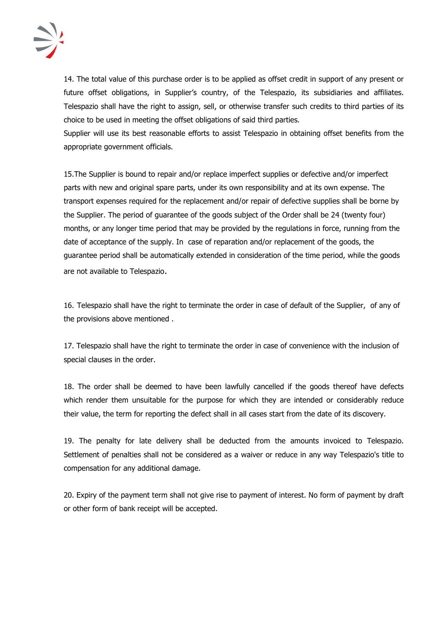

14. The total value of this purchase order is to be applied as offset credit in support of any present or future offset obligations, in Supplier's country, of the Telespazio, its subsidiaries and affiliates. Telespazio shall have the right to assign, sell, or otherwise transfer such credits to third parties of its choice to be used in meeting the offset obligations of said third parties.

Supplier will use its best reasonable efforts to assist Telespazio in obtaining offset benefits from the appropriate government officials.

15.The Supplier is bound to repair and/or replace imperfect supplies or defective and/or imperfect parts with new and original spare parts, under its own responsibility and at its own expense. The transport expenses required for the replacement and/or repair of defective supplies shall be borne by the Supplier. The period of guarantee of the goods subject of the Order shall be 24 (twenty four) months, or any longer time period that may be provided by the regulations in force, running from the date of acceptance of the supply. In case of reparation and/or replacement of the goods, the guarantee period shall be automatically extended in consideration of the time period, while the goods are not available to Telespazio.

16. Telespazio shall have the right to terminate the order in case of default of the Supplier, of any of the provisions above mentioned .

17. Telespazio shall have the right to terminate the order in case of convenience with the inclusion of special clauses in the order.

18. The order shall be deemed to have been lawfully cancelled if the goods thereof have defects which render them unsuitable for the purpose for which they are intended or considerably reduce their value, the term for reporting the defect shall in all cases start from the date of its discovery.

19. The penalty for late delivery shall be deducted from the amounts invoiced to Telespazio. Settlement of penalties shall not be considered as a waiver or reduce in any way Telespazio's title to compensation for any additional damage.

20. Expiry of the payment term shall not give rise to payment of interest. No form of payment by draft or other form of bank receipt will be accepted.